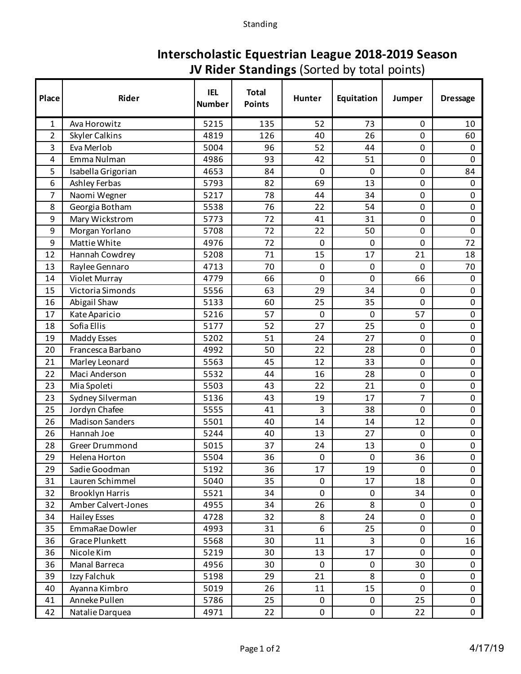## Standing

## **Interscholastic Equestrian League 2018-2019 Season JV Rider Standings** (Sorted by total points)

| Place          | Rider                      | <b>IEL</b><br><b>Number</b> | <b>Total</b><br><b>Points</b> | Hunter       | Equitation | Jumper         | <b>Dressage</b> |
|----------------|----------------------------|-----------------------------|-------------------------------|--------------|------------|----------------|-----------------|
| $\mathbf{1}$   | Ava Horowitz               | 5215                        | 135                           | 52           | 73         | 0              | 10              |
| $\overline{2}$ | <b>Skyler Calkins</b>      | 4819                        | 126                           | 40           | 26         | $\mathbf 0$    | 60              |
| 3              | Eva Merlob                 | 5004                        | 96                            | 52           | 44         | 0              | 0               |
| 4              | Emma Nulman                | 4986                        | 93                            | 42           | 51         | 0              | $\mathbf 0$     |
| 5              | Isabella Grigorian         | 4653                        | 84                            | $\mathbf 0$  | 0          | $\mathbf 0$    | 84              |
| 6              | Ashley Ferbas              | 5793                        | 82                            | 69           | 13         | 0              | $\mathbf 0$     |
| 7              | Naomi Wegner               | 5217                        | 78                            | 44           | 34         | 0              | $\mathbf 0$     |
| 8              | Georgia Botham             | 5538                        | 76                            | 22           | 54         | $\mathbf 0$    | $\mathbf 0$     |
| 9              | Mary Wickstrom             | 5773                        | 72                            | 41           | 31         | 0              | $\mathbf 0$     |
| 9              | Morgan Yorlano             | 5708                        | 72                            | 22           | 50         | 0              | $\mathbf 0$     |
| 9              | Mattie White               | 4976                        | 72                            | $\mathbf 0$  | 0          | 0              | 72              |
| 12             | Hannah Cowdrey             | 5208                        | 71                            | 15           | 17         | 21             | 18              |
| 13             | Raylee Gennaro             | 4713                        | 70                            | $\mathbf 0$  | 0          | 0              | 70              |
| 14             | Violet Murray              | 4779                        | 66                            | $\mathbf 0$  | 0          | 66             | $\mathbf 0$     |
| 15             | Victoria Simonds           | 5556                        | 63                            | 29           | 34         | 0              | $\mathbf 0$     |
| 16             | Abigail Shaw               | 5133                        | 60                            | 25           | 35         | 0              | $\mathbf 0$     |
| 17             | Kate Aparicio              | 5216                        | 57                            | $\mathbf 0$  | 0          | 57             | $\mathbf 0$     |
| 18             | Sofia Ellis                | 5177                        | 52                            | 27           | 25         | 0              | $\mathbf 0$     |
| 19             | Maddy Esses                | 5202                        | 51                            | 24           | 27         | 0              | $\mathbf 0$     |
| 20             | Francesca Barbano          | 4992                        | 50                            | 22           | 28         | $\mathbf 0$    | $\mathbf 0$     |
| 21             | Marley Leonard             | 5563                        | 45                            | 12           | 33         | 0              | $\mathbf 0$     |
| 22             | Maci Anderson              | 5532                        | 44                            | 16           | 28         | 0              | $\pmb{0}$       |
| 23             | Mia Spoleti                | 5503                        | 43                            | 22           | 21         | $\pmb{0}$      | $\mathbf 0$     |
| 23             | Sydney Silverman           | 5136                        | 43                            | 19           | 17         | 7              | $\mathbf 0$     |
| 25             | Jordyn Chafee              | 5555                        | 41                            | 3            | 38         | 0              | $\pmb{0}$       |
| 26             | <b>Madison Sanders</b>     | 5501                        | 40                            | 14           | 14         | 12             | $\mathbf 0$     |
| 26             | Hannah Joe                 | 5244                        | 40                            | 13           | 27         | 0              | $\mathbf 0$     |
| 28             | Greer Drummond             | 5015                        | 37                            | 24           | 13         | 0              | $\pmb{0}$       |
| 29             | Helena Horton              | 5504                        | 36                            | $\mathbf 0$  | 0          | 36             | $\mathbf 0$     |
| 29             | Sadie Goodman              | 5192                        | 36                            | 17           | 19         | 0              | $\mathbf 0$     |
| 31             | Lauren Schimmel            | 5040                        | 35                            | $\mathbf 0$  | 17         | 18             | $\mathbf 0$     |
| 32             | <b>Brooklyn Harris</b>     | 5521                        | 34                            | $\mathbf 0$  | $\pmb{0}$  | 34             | $\mathbf 0$     |
| 32             | <b>Amber Calvert-Jones</b> | 4955                        | 34                            | 26           | 8          | 0              | $\mathbf 0$     |
| 34             | <b>Hailey Esses</b>        | 4728                        | 32                            | 8            | 24         | 0              | $\mathbf 0$     |
| 35             | EmmaRae Dowler             | 4993                        | 31                            | 6            | 25         | $\mathbf 0$    | $\mathbf 0$     |
| 36             | Grace Plunkett             | 5568                        | 30                            | 11           | 3          | 0              | 16              |
| 36             | Nicole Kim                 | 5219                        | 30                            | 13           | 17         | $\overline{0}$ | $\mathbf 0$     |
| 36             | Manal Barreca              | 4956                        | 30                            | $\mathbf 0$  | $\pmb{0}$  | 30             | $\mathbf 0$     |
| 39             | Izzy Falchuk               | 5198                        | 29                            | 21           | 8          | 0              | $\mathbf 0$     |
| 40             | Ayanna Kimbro              | 5019                        | 26                            | 11           | 15         | $\mathbf 0$    | $\mathsf{O}$    |
| 41             | Anneke Pullen              | 5786                        | 25                            | $\pmb{0}$    | $\pmb{0}$  | 25             | $\mathsf{O}$    |
| 42             | Natalie Darquea            | 4971                        | 22                            | $\mathsf{O}$ | 0          | 22             | $\mathbf 0$     |